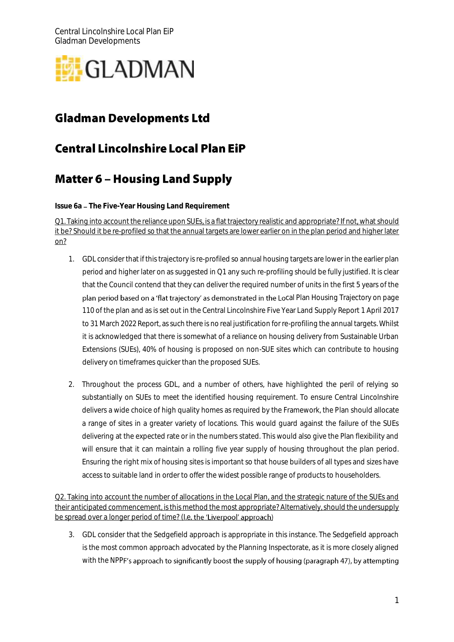

# **Gladman Developments Ltd**

# **Central Lincolnshire Local Plan EiP**

#### **Matter 6 - Housing Land Supply**  $\overline{a}$

**Issue 6a The Five-Year Housing Land Requirement**

Q1. Taking into account the reliance upon SUEs, is a flat trajectory realistic and appropriate? If not, what should it be? Should it be re-profiled so that the annual targets are lower earlier on in the plan period and higher later on?

- 1. GDL consider that if this trajectory is re-profiled so annual housing targets are lower in the earlier plan period and higher later on as suggested in Q1 any such re-profiling should be fully justified. It is clear that the Council contend that they can deliver the required number of units in the first 5 years of the plan period based on a 'flat trajectory' as demonstrated in the Local Plan Housing Trajectory on page 110 of the plan and as is set out in the Central Lincolnshire Five Year Land Supply Report 1 April 2017 to 31 March 2022 Report, as such there is no real justification for re-profiling the annual targets. Whilst it is acknowledged that there is somewhat of a reliance on housing delivery from Sustainable Urban Extensions (SUEs), 40% of housing is proposed on non-SUE sites which can contribute to housing delivery on timeframes quicker than the proposed SUEs.
- 2. Throughout the process GDL, and a number of others, have highlighted the peril of relying so substantially on SUEs to meet the identified housing requirement. To ensure Central Lincolnshire delivers a wide choice of high quality homes as required by the Framework, the Plan should allocate a range of sites in a greater variety of locations. This would guard against the failure of the SUEs delivering at the expected rate or in the numbers stated. This would also give the Plan flexibility and will ensure that it can maintain a rolling five year supply of housing throughout the plan period. Ensuring the right mix of housing sites is important so that house builders of all types and sizes have access to suitable land in order to offer the widest possible range of products to householders.

Q2. Taking into account the number of allocations in the Local Plan, and the strategic nature of the SUEs and their anticipated commencement, is this method the most appropriate? Alternatively, should the undersupply be spread over a longer period of time? (I.e. the 'Liverpool' approach)

3. GDL consider that the Sedgefield approach is appropriate in this instance. The Sedgefield approach is the most common approach advocated by the Planning Inspectorate, as it is more closely aligned with the NPPF's approach to significantly boost the supply of housing (paragraph 47), by attempting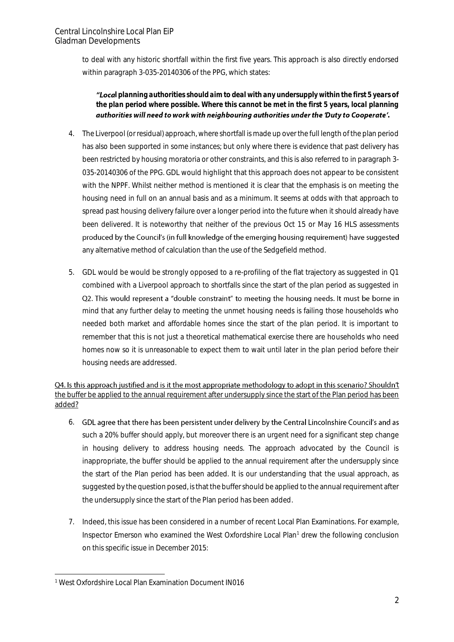to deal with any historic shortfall within the first five years. This approach is also directly endorsed within paragraph 3-035-20140306 of the PPG, which states:

*l planning authorities should aim to deal with any undersupply within the first 5 years of the plan period where possible. Where this cannot be met in the first 5 years, local planning*  authorities will need to work with neighbouring authorities under the 'Duty to Cooperate'.

- 4. The Liverpool (or residual) approach, where shortfall is made up over the full length of the plan period has also been supported in some instances; but only where there is evidence that past delivery has been restricted by housing moratoria or other constraints, and this is also referred to in paragraph 3- 035-20140306 of the PPG. GDL would highlight that this approach does not appear to be consistent with the NPPF. Whilst neither method is mentioned it is clear that the emphasis is on meeting the housing need in full on an annual basis and as a minimum. It seems at odds with that approach to spread past housing delivery failure over a longer period into the future when it should already have been delivered. It is noteworthy that neither of the previous Oct 15 or May 16 HLS assessments produced by the Council's (in full knowledge of the emerging housing requirement) have suggested any alternative method of calculation than the use of the Sedgefield method.
- 5. GDL would be would be strongly opposed to a re-profiling of the flat trajectory as suggested in Q1 combined with a Liverpool approach to shortfalls since the start of the plan period as suggested in Q2. This would represent a "double constraint" to meeting the housing needs. It must be borne in mind that any further delay to meeting the unmet housing needs is failing those households who needed both market and affordable homes since the start of the plan period. It is important to remember that this is not just a theoretical mathematical exercise there are households who need homes now so it is unreasonable to expect them to wait until later in the plan period before their housing needs are addressed.

Q4. Is this approach justified and is it the most appropriate methodology to adopt in this scenario? Shouldn't the buffer be applied to the annual requirement after undersupply since the start of the Plan period has been added?

- 6. GDL agree that there has been persistent under delivery by the Central Lincolnshire Council's and as such a 20% buffer should apply, but moreover there is an urgent need for a significant step change in housing delivery to address housing needs. The approach advocated by the Council is inappropriate, the buffer should be applied to the annual requirement after the undersupply since the start of the Plan period has been added. It is our understanding that the usual approach, as suggested by the question posed, is that the buffer should be applied to the annual requirement after the undersupply since the start of the Plan period has been added.
- 7. Indeed, this issue has been considered in a number of recent Local Plan Examinations. For example, Inspector Emerson who examined the West Oxfordshire Local Plan<sup>1</sup> drew the following conclusion on this specific issue in December 2015:

<sup>-</sup><sup>1</sup> West Oxfordshire Local Plan Examination Document IN016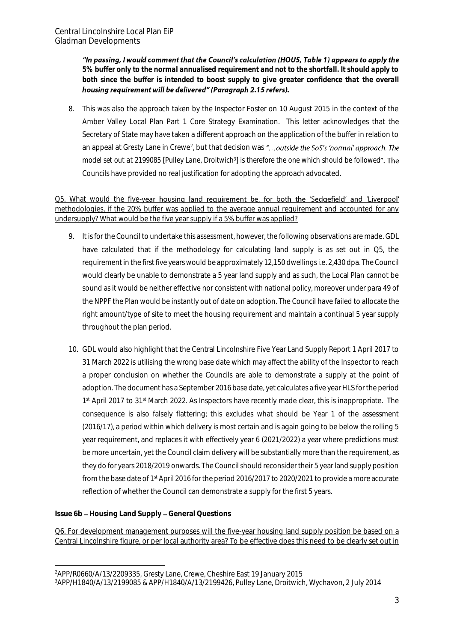"In passing, I would comment that the Council's calculation (HOU5, Table 1) appears to apply the *5% buffer only to the normal annualised requirement and not to the shortfall. It should apply to both since the buffer is intended to boost supply to give greater confidence that the overall*  housing requirement will be delivered" (Paragraph 2.15 refers).

8. This was also the approach taken by the Inspector Foster on 10 August 2015 in the context of the Amber Valley Local Plan Part 1 Core Strategy Examination. This letter acknowledges that the Secretary of State may have taken a different approach on the application of the buffer in relation to an appeal at Gresty Lane in Crewe<sup>2</sup>, but that decision was *model set out at 2199085 [Pulley Lane, Droitwich<sup>3</sup> ] is therefore the one which should be followed* Councils have provided no real justification for adopting the approach advocated.

Q5. What would the five-year housing land requirement be, for both the 'Sedgefield' and 'Liverpool' methodologies, if the 20% buffer was applied to the average annual requirement and accounted for any undersupply? What would be the five year supply if a 5% buffer was applied?

- 9. It is for the Council to undertake this assessment, however, the following observations are made. GDL have calculated that if the methodology for calculating land supply is as set out in Q5, the requirement in the first five years would be approximately 12,150 dwellings i.e. 2,430 dpa. The Council would clearly be unable to demonstrate a 5 year land supply and as such, the Local Plan cannot be sound as it would be neither effective nor consistent with national policy, moreover under para 49 of the NPPF the Plan would be instantly out of date on adoption. The Council have failed to allocate the right amount/type of site to meet the housing requirement and maintain a continual 5 year supply throughout the plan period.
- 10. GDL would also highlight that the Central Lincolnshire Five Year Land Supply Report 1 April 2017 to 31 March 2022 is utilising the wrong base date which may affect the ability of the Inspector to reach a proper conclusion on whether the Councils are able to demonstrate a supply at the point of adoption. The document has a September 2016 base date, yet calculates a five year HLS for the period 1<sup>st</sup> April 2017 to 31<sup>st</sup> March 2022. As Inspectors have recently made clear, this is inappropriate. The consequence is also falsely flattering; this excludes what should be Year 1 of the assessment (2016/17), a period within which delivery is most certain and is again going to be below the rolling 5 year requirement, and replaces it with effectively year 6 (2021/2022) a year where predictions must be more uncertain, yet the Council claim delivery will be substantially more than the requirement, as they do for years 2018/2019 onwards. The Council should reconsider their 5 year land supply position from the base date of 1st April 2016 for the period 2016/2017 to 2020/2021 to provide a more accurate reflection of whether the Council can demonstrate a supply for the first 5 years.

**Issue 6b Housing Land Supply General Questions**

Q6. For development management purposes will the five-year housing land supply position be based on a Central Lincolnshire figure, or per local authority area? To be effective does this need to be clearly set out in

<sup>-</sup><sup>2</sup>APP/R0660/A/13/2209335, Gresty Lane, Crewe, Cheshire East 19 January 2015

<sup>3</sup>APP/H1840/A/13/2199085 & APP/H1840/A/13/2199426, Pulley Lane, Droitwich, Wychavon, 2 July 2014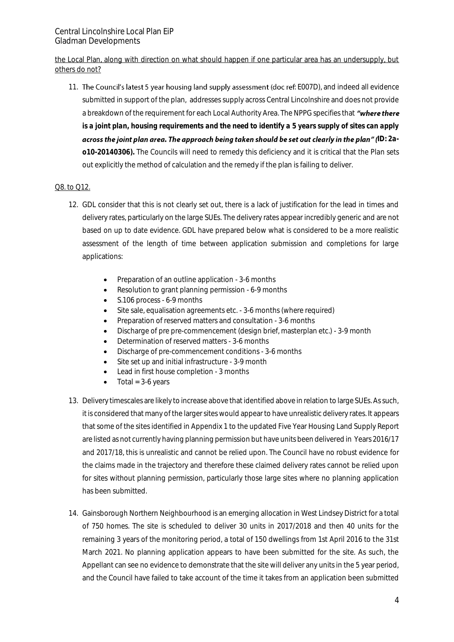the Local Plan, along with direction on what should happen if one particular area has an undersupply, but others do not?

11. The Council's latest 5 year housing land supply assessment (doc ref. E007D), and indeed all evidence submitted in support of the plan, addresses supply across Central Lincolnshire and does not provide a breakdown of the requirement for each Local Authority Area. The NPPG specifies that "where there *is a joint plan, housing requirements and the need to identify a 5 years supply of sites can apply*  across the joint plan area. The approach being taken should be set out clearly in the plan" (ID: 2a*o10-20140306)***.** The Councils will need to remedy this deficiency and it is critical that the Plan sets out explicitly the method of calculation and the remedy if the plan is failing to deliver.

## Q8. to Q12.

- 12. GDL consider that this is not clearly set out, there is a lack of justification for the lead in times and delivery rates, particularly on the large SUEs. The delivery rates appear incredibly generic and are not based on up to date evidence. GDL have prepared below what is considered to be a more realistic assessment of the length of time between application submission and completions for large applications:
	- Preparation of an outline application 3-6 months
	- Resolution to grant planning permission 6-9 months
	- S.106 process 6-9 months
	- Site sale, equalisation agreements etc. 3-6 months (where required)
	- Preparation of reserved matters and consultation 3-6 months
	- Discharge of pre pre-commencement (design brief, masterplan etc.) 3-9 month
	- Determination of reserved matters 3-6 months
	- Discharge of pre-commencement conditions 3-6 months
	- Site set up and initial infrastructure 3-9 month
	- Lead in first house completion 3 months
	- $\bullet$  Total = 3-6 years
- 13. Delivery timescales are likely to increase above that identified above in relation to large SUEs. As such, it is considered that many of the larger sites would appear to have unrealistic delivery rates. It appears that some of the sites identified in Appendix 1 to the updated Five Year Housing Land Supply Report are listed as not currently having planning permission but have units been delivered in Years 2016/17 and 2017/18, this is unrealistic and cannot be relied upon. The Council have no robust evidence for the claims made in the trajectory and therefore these claimed delivery rates cannot be relied upon for sites without planning permission, particularly those large sites where no planning application has been submitted.
- 14. Gainsborough Northern Neighbourhood is an emerging allocation in West Lindsey District for a total of 750 homes. The site is scheduled to deliver 30 units in 2017/2018 and then 40 units for the remaining 3 years of the monitoring period, a total of 150 dwellings from 1st April 2016 to the 31st March 2021. No planning application appears to have been submitted for the site. As such, the Appellant can see no evidence to demonstrate that the site will deliver any units in the 5 year period, and the Council have failed to take account of the time it takes from an application been submitted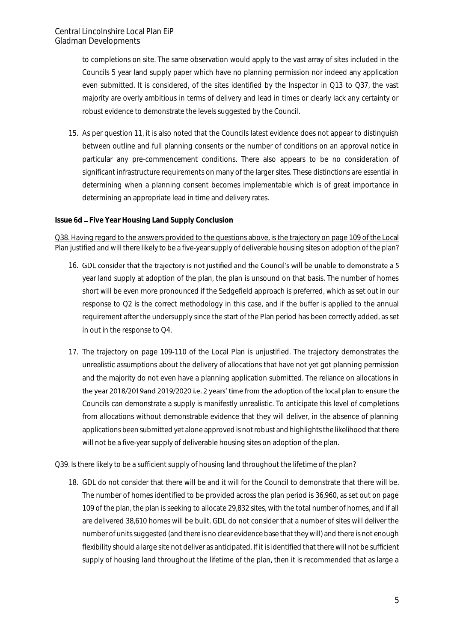to completions on site. The same observation would apply to the vast array of sites included in the Councils 5 year land supply paper which have no planning permission nor indeed any application even submitted. It is considered, of the sites identified by the Inspector in Q13 to Q37, the vast majority are overly ambitious in terms of delivery and lead in times or clearly lack any certainty or robust evidence to demonstrate the levels suggested by the Council.

15. As per question 11, it is also noted that the Councils latest evidence does not appear to distinguish between outline and full planning consents or the number of conditions on an approval notice in particular any pre-commencement conditions. There also appears to be no consideration of significant infrastructure requirements on many of the larger sites. These distinctions are essential in determining when a planning consent becomes implementable which is of great importance in determining an appropriate lead in time and delivery rates.

### **Issue 6d - Five Year Housing Land Supply Conclusion**

Q38. Having regard to the answers provided to the questions above, is the trajectory on page 109 of the Local Plan justified and will there likely to be a five-year supply of deliverable housing sites on adoption of the plan?

- 16. GDL consider that the trajectory is not justified and the Council's will be unable to demonstrate a 5 year land supply at adoption of the plan, the plan is unsound on that basis. The number of homes short will be even more pronounced if the Sedgefield approach is preferred, which as set out in our response to Q2 is the correct methodology in this case, and if the buffer is applied to the annual requirement after the undersupply since the start of the Plan period has been correctly added, as set in out in the response to Q4.
- 17. The trajectory on page 109-110 of the Local Plan is unjustified. The trajectory demonstrates the unrealistic assumptions about the delivery of allocations that have not yet got planning permission and the majority do not even have a planning application submitted. The reliance on allocations in the year 2018/2019and 2019/2020 i.e. 2 years' time from the adoption of the local plan to ensure the Councils can demonstrate a supply is manifestly unrealistic. To anticipate this level of completions from allocations without demonstrable evidence that they will deliver, in the absence of planning applications been submitted yet alone approved is not robust and highlights the likelihood that there will not be a five-year supply of deliverable housing sites on adoption of the plan.

### Q39. Is there likely to be a sufficient supply of housing land throughout the lifetime of the plan?

18. GDL do not consider that there will be and it will for the Council to demonstrate that there will be. The number of homes identified to be provided across the plan period is 36,960, as set out on page 109 of the plan, the plan is seeking to allocate 29,832 sites, with the total number of homes, and if all are delivered 38,610 homes will be built. GDL do not consider that a number of sites will deliver the number of units suggested (and there is no clear evidence base that they will) and there is not enough flexibility should a large site not deliver as anticipated. If it is identified that there will not be sufficient supply of housing land throughout the lifetime of the plan, then it is recommended that as large a